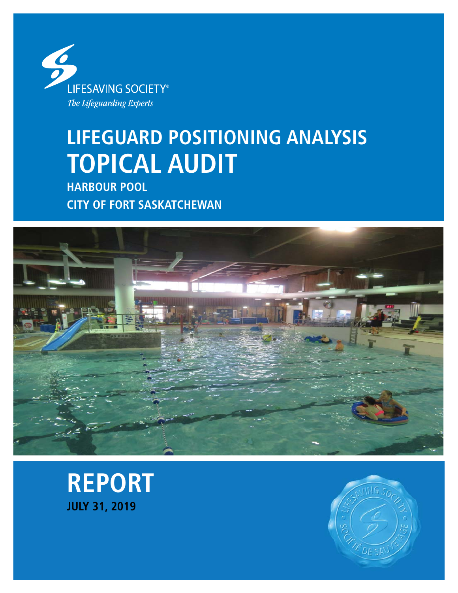

# **LIFEGUARD POSITIONING ANALYSIS TOPICAL AUDIT**

**HARBOUR POOL CITY OF FORT SASKATCHEWAN**





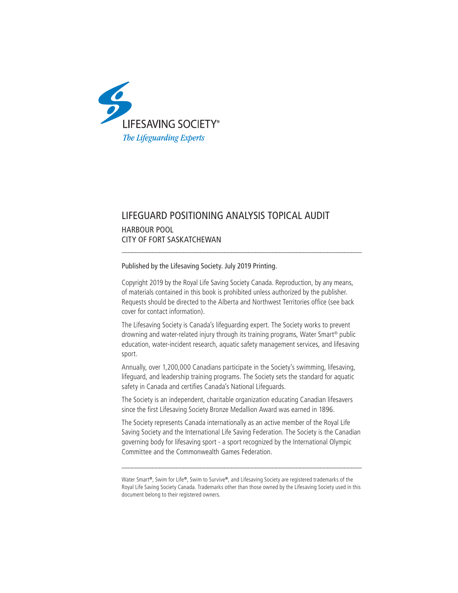

# LIFEGUARD POSITIONING ANALYSIS TOPICAL AUDIT

### HARBOUR POOL CITY OF FORT SASKATCHEWAN

#### Published by the Lifesaving Society. July 2019 Printing.

Copyright 2019 by the Royal Life Saving Society Canada. Reproduction, by any means, of materials contained in this book is prohibited unless authorized by the publisher. Requests should be directed to the Alberta and Northwest Territories office (see back cover for contact information).

\_\_\_\_\_\_\_\_\_\_\_\_\_\_\_\_\_\_\_\_\_\_\_\_\_\_\_\_\_\_\_\_\_\_\_\_\_\_\_\_\_\_\_\_\_\_\_\_\_\_\_\_\_\_\_\_\_\_\_\_\_\_\_\_\_\_\_\_\_\_

The Lifesaving Society is Canada's lifeguarding expert. The Society works to prevent drowning and water-related injury through its training programs, Water Smart® public education, water-incident research, aquatic safety management services, and lifesaving sport.

Annually, over 1,200,000 Canadians participate in the Society's swimming, lifesaving, lifeguard, and leadership training programs. The Society sets the standard for aquatic safety in Canada and certifies Canada's National Lifeguards.

The Society is an independent, charitable organization educating Canadian lifesavers since the first Lifesaving Society Bronze Medallion Award was earned in 1896.

The Society represents Canada internationally as an active member of the Royal Life Saving Society and the International Life Saving Federation. The Society is the Canadian governing body for lifesaving sport - a sport recognized by the International Olympic Committee and the Commonwealth Games Federation.

\_\_\_\_\_\_\_\_\_\_\_\_\_\_\_\_\_\_\_\_\_\_\_\_\_\_\_\_\_\_\_\_\_\_\_\_\_\_\_\_\_\_\_\_\_\_\_\_\_\_\_\_\_\_\_\_\_\_\_\_\_\_\_\_\_\_\_\_\_\_

Water Smart**®**, Swim for Life**®**, Swim to Survive**®**, and Lifesaving Society are registered trademarks of the Royal Life Saving Society Canada. Trademarks other than those owned by the Lifesaving Society used in this document belong to their registered owners.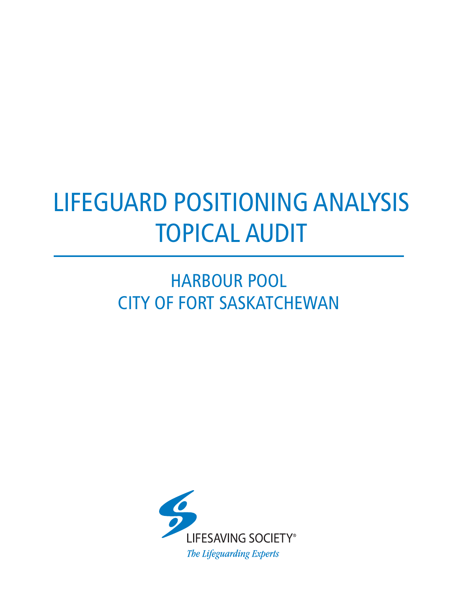# LIFEGUARD POSITIONING ANALYSIS TOPICAL AUDIT

# HARBOUR POOL CITY OF FORT SASKATCHEWAN

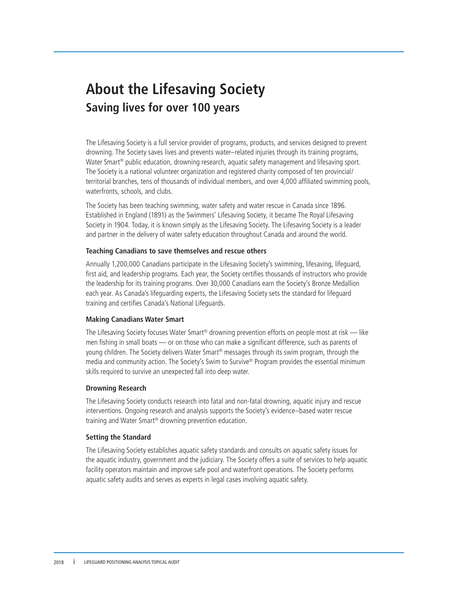# **About the Lifesaving Society Saving lives for over 100 years**

The Lifesaving Society is a full service provider of programs, products, and services designed to prevent drowning. The Society saves lives and prevents water–related injuries through its training programs, Water Smart<sup>®</sup> public education, drowning research, aquatic safety management and lifesaving sport. The Society is a national volunteer organization and registered charity composed of ten provincial/ territorial branches, tens of thousands of individual members, and over 4,000 affiliated swimming pools, waterfronts, schools, and clubs.

The Society has been teaching swimming, water safety and water rescue in Canada since 1896. Established in England (1891) as the Swimmers' Lifesaving Society, it became The Royal Lifesaving Society in 1904. Today, it is known simply as the Lifesaving Society. The Lifesaving Society is a leader and partner in the delivery of water safety education throughout Canada and around the world.

#### **Teaching Canadians to save themselves and rescue others**

Annually 1,200,000 Canadians participate in the Lifesaving Society's swimming, lifesaving, lifeguard, first aid, and leadership programs. Each year, the Society certifies thousands of instructors who provide the leadership for its training programs. Over 30,000 Canadians earn the Society's Bronze Medallion each year. As Canada's lifeguarding experts, the Lifesaving Society sets the standard for lifeguard training and certifies Canada's National Lifeguards.

#### **Making Canadians Water Smart**

The Lifesaving Society focuses Water Smart® drowning prevention efforts on people most at risk — like men fishing in small boats — or on those who can make a significant difference, such as parents of young children. The Society delivers Water Smart® messages through its swim program, through the media and community action. The Society's Swim to Survive® Program provides the essential minimum skills required to survive an unexpected fall into deep water.

#### **Drowning Research**

The Lifesaving Society conducts research into fatal and non-fatal drowning, aquatic injury and rescue interventions. Ongoing research and analysis supports the Society's evidence–based water rescue training and Water Smart® drowning prevention education.

#### **Setting the Standard**

The Lifesaving Society establishes aquatic safety standards and consults on aquatic safety issues for the aquatic industry, government and the judiciary. The Society offers a suite of services to help aquatic facility operators maintain and improve safe pool and waterfront operations. The Society performs aquatic safety audits and serves as experts in legal cases involving aquatic safety.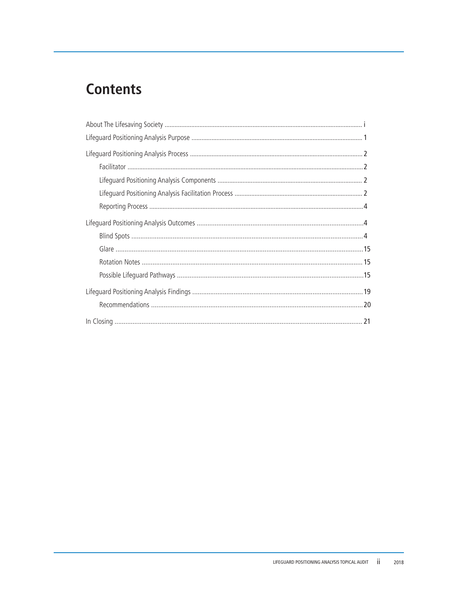# **Contents**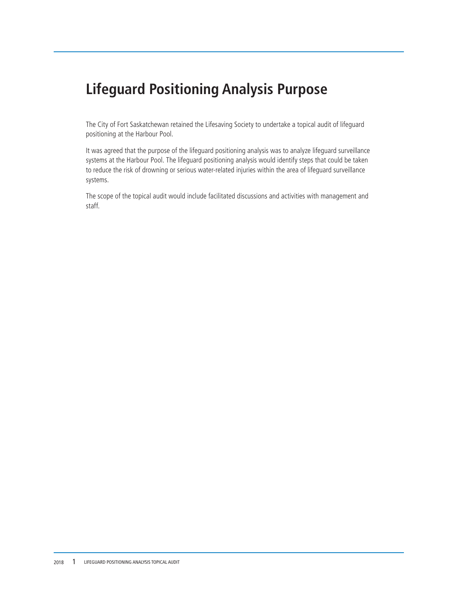# **Lifeguard Positioning Analysis Purpose**

The City of Fort Saskatchewan retained the Lifesaving Society to undertake a topical audit of lifeguard positioning at the Harbour Pool.

It was agreed that the purpose of the lifeguard positioning analysis was to analyze lifeguard surveillance systems at the Harbour Pool. The lifeguard positioning analysis would identify steps that could be taken to reduce the risk of drowning or serious water-related injuries within the area of lifeguard surveillance systems.

The scope of the topical audit would include facilitated discussions and activities with management and staff.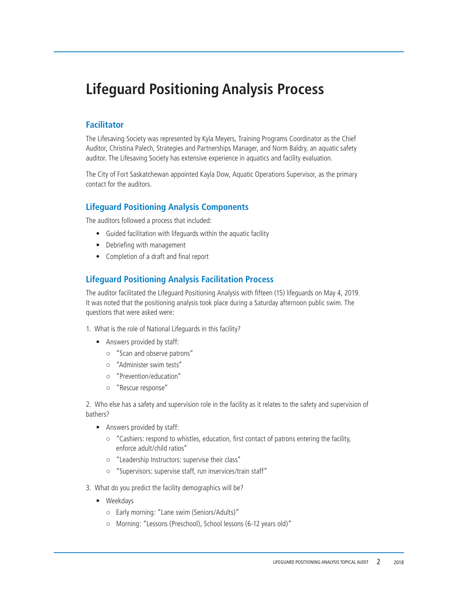# **Lifeguard Positioning Analysis Process**

# **Facilitator**

The Lifesaving Society was represented by Kyla Meyers, Training Programs Coordinator as the Chief Auditor, Christina Palech, Strategies and Partnerships Manager, and Norm Baldry, an aquatic safety auditor. The Lifesaving Society has extensive experience in aquatics and facility evaluation.

The City of Fort Saskatchewan appointed Kayla Dow, Aquatic Operations Supervisor, as the primary contact for the auditors.

### **Lifeguard Positioning Analysis Components**

The auditors followed a process that included:

- Guided facilitation with lifeguards within the aquatic facility
- Debriefing with management
- Completion of a draft and final report

### **Lifeguard Positioning Analysis Facilitation Process**

The auditor facilitated the Lifeguard Positioning Analysis with fifteen (15) lifeguards on May 4, 2019. It was noted that the positioning analysis took place during a Saturday afternoon public swim. The questions that were asked were:

- 1. What is the role of National Lifeguards in this facility?
	- Answers provided by staff:
		- "Scan and observe patrons"
		- "Administer swim tests"
		- "Prevention/education"
		- "Rescue response"

2. Who else has a safety and supervision role in the facility as it relates to the safety and supervision of bathers?

- Answers provided by staff:
	- "Cashiers: respond to whistles, education, first contact of patrons entering the facility, enforce adult/child ratios"
	- "Leadership Instructors: supervise their class"
	- "Supervisors: supervise staff, run inservices/train staff"
- 3. What do you predict the facility demographics will be?
	- Weekdays
		- Early morning: "Lane swim (Seniors/Adults)"
		- Morning: "Lessons (Preschool), School lessons (6-12 years old)"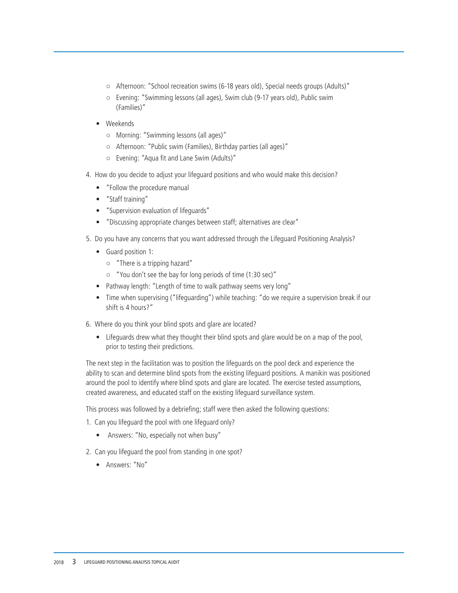- Afternoon: "School recreation swims (6-18 years old), Special needs groups (Adults)"
- Evening: "Swimming lessons (all ages), Swim club (9-17 years old), Public swim (Families)"
- Weekends
	- Morning: "Swimming lessons (all ages)"
	- Afternoon: "Public swim (Families), Birthday parties (all ages)"
	- $\circ$  Evening: "Aqua fit and Lane Swim (Adults)"
- 4. How do you decide to adjust your lifeguard positions and who would make this decision?
	- "Follow the procedure manual
	- "Staff training"
	- "Supervision evaluation of lifeguards"
	- "Discussing appropriate changes between staff; alternatives are clear"
- 5. Do you have any concerns that you want addressed through the Lifeguard Positioning Analysis?
	- Guard position 1:
		- "There is a tripping hazard"
		- "You don't see the bay for long periods of time (1:30 sec)"
	- Pathway length: "Length of time to walk pathway seems very long"
	- Time when supervising ("lifeguarding") while teaching: "do we require a supervision break if our shift is 4 hours?"
- 6. Where do you think your blind spots and glare are located?
	- Lifeguards drew what they thought their blind spots and glare would be on a map of the pool, prior to testing their predictions.

The next step in the facilitation was to position the lifeguards on the pool deck and experience the ability to scan and determine blind spots from the existing lifeguard positions. A manikin was positioned around the pool to identify where blind spots and glare are located. The exercise tested assumptions, created awareness, and educated staff on the existing lifeguard surveillance system.

This process was followed by a debriefing; staff were then asked the following questions:

- 1. Can you lifeguard the pool with one lifeguard only?
	- Answers: "No, especially not when busy"
- 2. Can you lifeguard the pool from standing in one spot?
	- Answers: "No"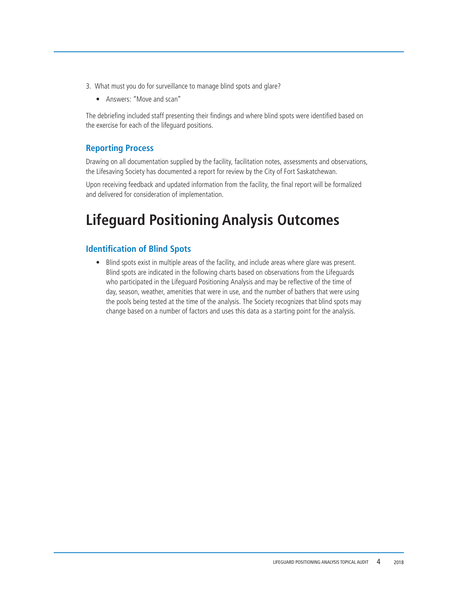- 3. What must you do for surveillance to manage blind spots and glare?
	- Answers: "Move and scan"

The debriefing included staff presenting their findings and where blind spots were identified based on the exercise for each of the lifeguard positions.

# **Reporting Process**

Drawing on all documentation supplied by the facility, facilitation notes, assessments and observations, the Lifesaving Society has documented a report for review by the City of Fort Saskatchewan.

Upon receiving feedback and updated information from the facility, the final report will be formalized and delivered for consideration of implementation.

# **Lifeguard Positioning Analysis Outcomes**

# **Identification of Blind Spots**

• Blind spots exist in multiple areas of the facility, and include areas where glare was present. Blind spots are indicated in the following charts based on observations from the Lifeguards who participated in the Lifeguard Positioning Analysis and may be reflective of the time of day, season, weather, amenities that were in use, and the number of bathers that were using the pools being tested at the time of the analysis. The Society recognizes that blind spots may change based on a number of factors and uses this data as a starting point for the analysis.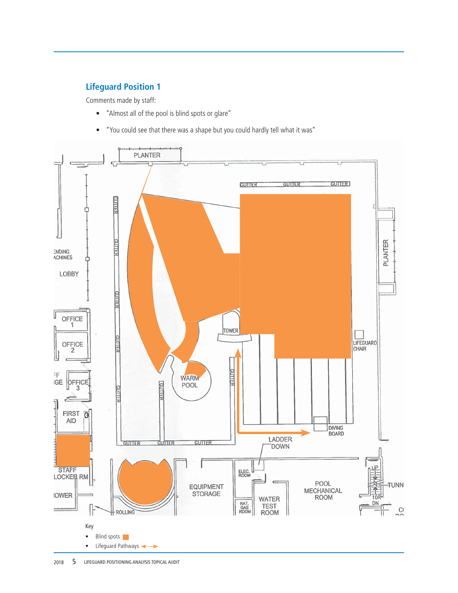# **Lifeguard Position 1**

- "Almost all of the pool is blind spots or glare"
- "You could see that there was a shape but you could hardly tell what it was"



2018 **5** LIFEGUARD POSITIONING ANALYSIS TOPICAL AUDIT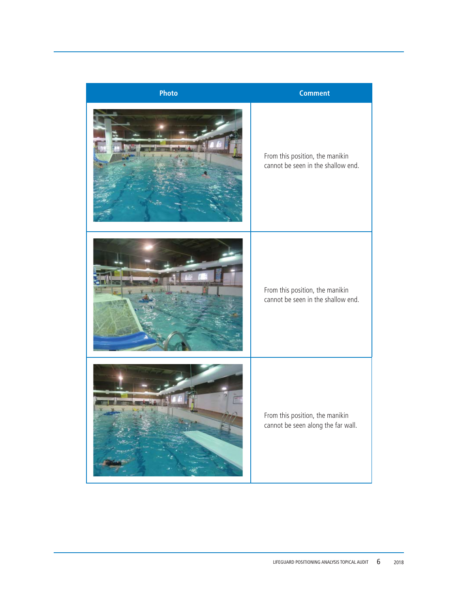| Photo | <b>Comment</b>                                                        |
|-------|-----------------------------------------------------------------------|
|       | From this position, the manikin<br>cannot be seen in the shallow end. |
|       | From this position, the manikin<br>cannot be seen in the shallow end. |
|       | From this position, the manikin<br>cannot be seen along the far wall. |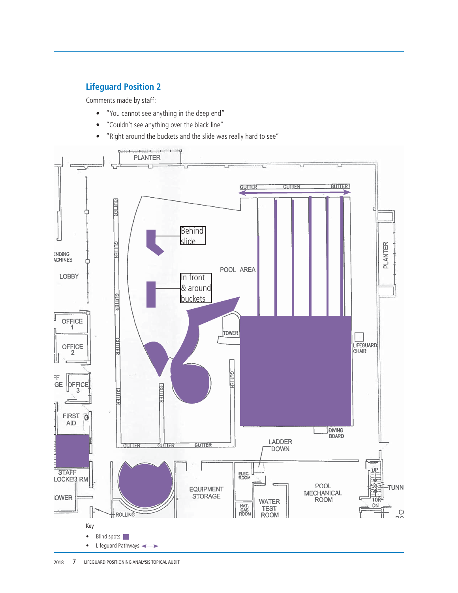# **Lifeguard Position 2**

- "You cannot see anything in the deep end"
- "Couldn't see anything over the black line"
- "Right around the buckets and the slide was really hard to see"

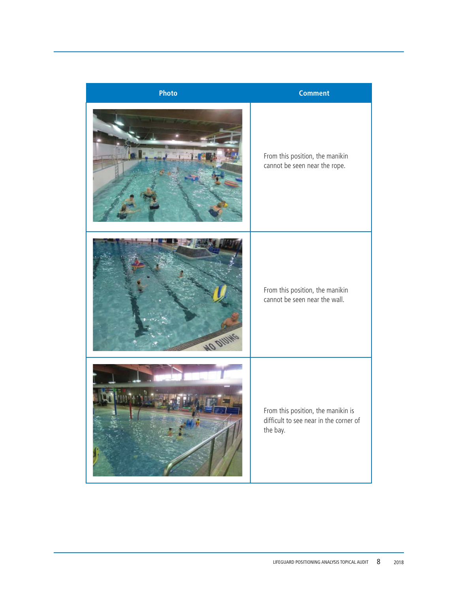| <b>Photo</b>    | <b>Comment</b>                                                                           |
|-----------------|------------------------------------------------------------------------------------------|
|                 | From this position, the manikin<br>cannot be seen near the rope.                         |
| <b>MO DIUNG</b> | From this position, the manikin<br>cannot be seen near the wall.                         |
|                 | From this position, the manikin is<br>difficult to see near in the corner of<br>the bay. |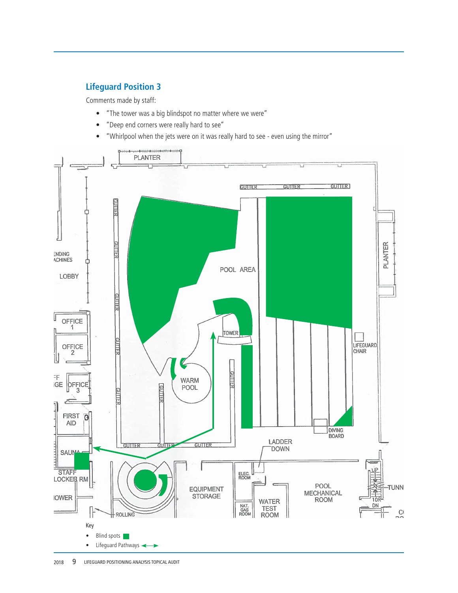# **Lifeguard Position 3**

- "The tower was a big blindspot no matter where we were"
- "Deep end corners were really hard to see"
- "Whirlpool when the jets were on it was really hard to see even using the mirror"

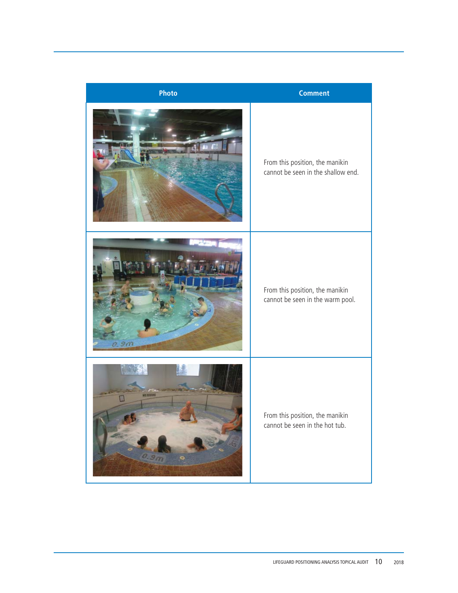| Photo                   | <b>Comment</b>                                                        |
|-------------------------|-----------------------------------------------------------------------|
|                         | From this position, the manikin<br>cannot be seen in the shallow end. |
| a 9m                    | From this position, the manikin<br>cannot be seen in the warm pool.   |
| NO DIUINE<br>0.901<br>s | From this position, the manikin<br>cannot be seen in the hot tub.     |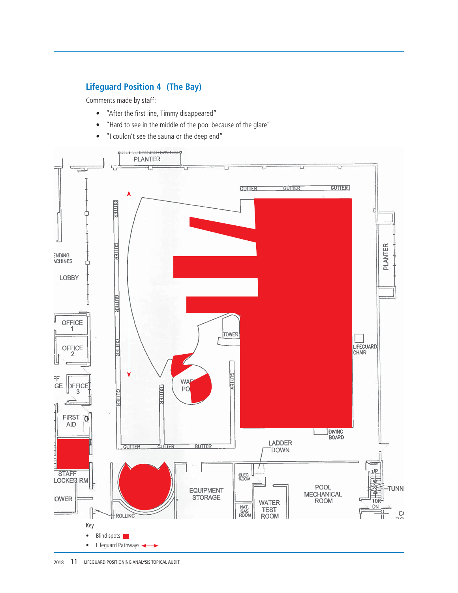# **Lifeguard Position 4 (The Bay)**

- "After the first line, Timmy disappeared"
- "Hard to see in the middle of the pool because of the glare"
- "I couldn't see the sauna or the deep end"



2018 11 LIFEGUARD POSITIONING ANALYSIS TOPICAL AUDIT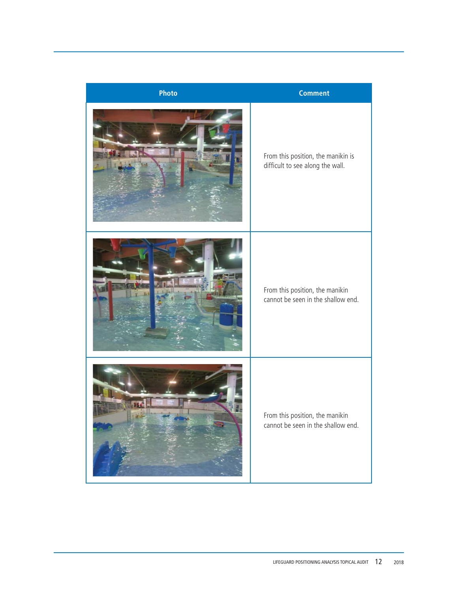| Photo | <b>Comment</b>                                                         |
|-------|------------------------------------------------------------------------|
|       | From this position, the manikin is<br>difficult to see along the wall. |
|       | From this position, the manikin<br>cannot be seen in the shallow end.  |
|       | From this position, the manikin<br>cannot be seen in the shallow end.  |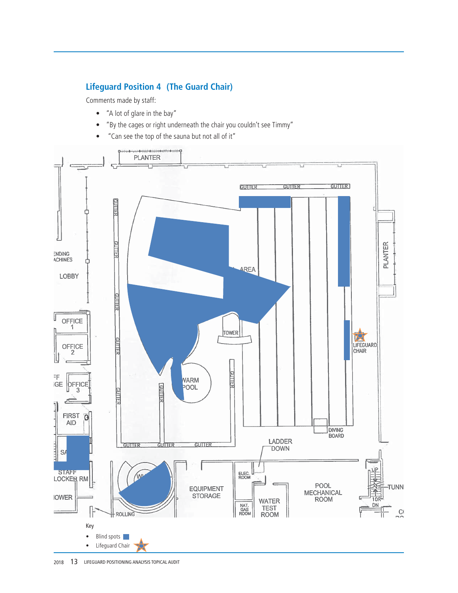# **Lifeguard Position 4 (The Guard Chair)**

- "A lot of glare in the bay"
- "By the cages or right underneath the chair you couldn't see Timmy"
- "Can see the top of the sauna but not all of it"



2018 13 LIFEGUARD POSITIONING ANALYSIS TOPICAL AUDIT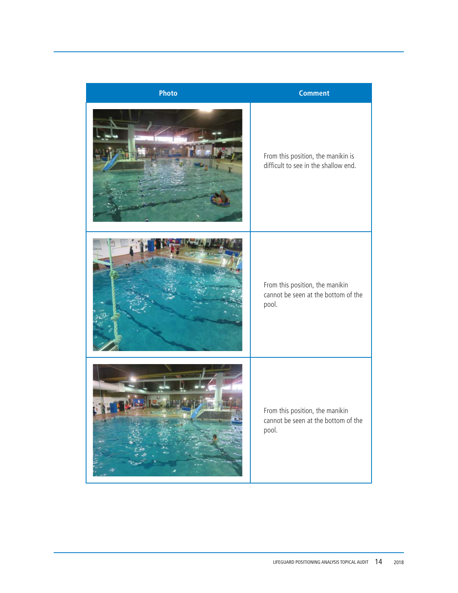| <b>Photo</b> | <b>Comment</b>                                                                  |
|--------------|---------------------------------------------------------------------------------|
|              | From this position, the manikin is<br>difficult to see in the shallow end.      |
|              | From this position, the manikin<br>cannot be seen at the bottom of the<br>pool. |
|              | From this position, the manikin<br>cannot be seen at the bottom of the<br>pool. |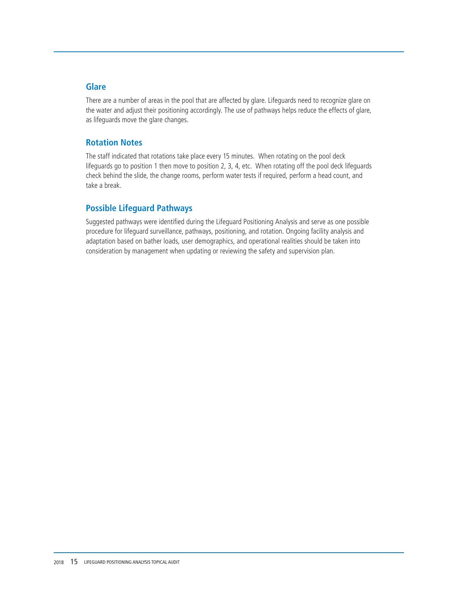### **Glare**

There are a number of areas in the pool that are affected by glare. Lifeguards need to recognize glare on the water and adjust their positioning accordingly. The use of pathways helps reduce the effects of glare, as lifeguards move the glare changes.

### **Rotation Notes**

The staff indicated that rotations take place every 15 minutes. When rotating on the pool deck lifeguards go to position 1 then move to position 2, 3, 4, etc. When rotating off the pool deck lifeguards check behind the slide, the change rooms, perform water tests if required, perform a head count, and take a break.

### **Possible Lifeguard Pathways**

Suggested pathways were identified during the Lifeguard Positioning Analysis and serve as one possible procedure for lifeguard surveillance, pathways, positioning, and rotation. Ongoing facility analysis and adaptation based on bather loads, user demographics, and operational realities should be taken into consideration by management when updating or reviewing the safety and supervision plan.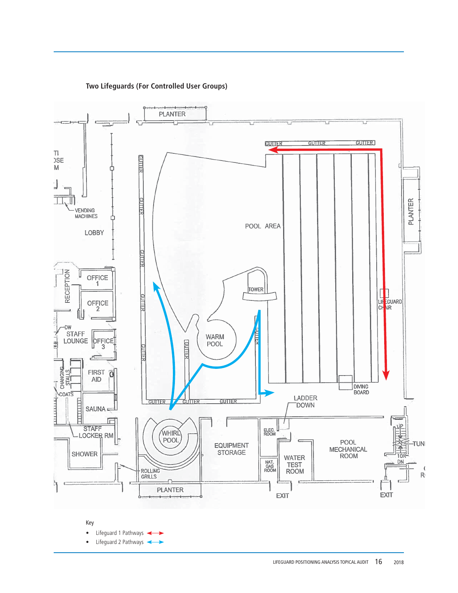

**Two Lifeguards (For Controlled User Groups)**

Key

• Lifeguard 1 Pathways <

• Lifeguard 2 Pathways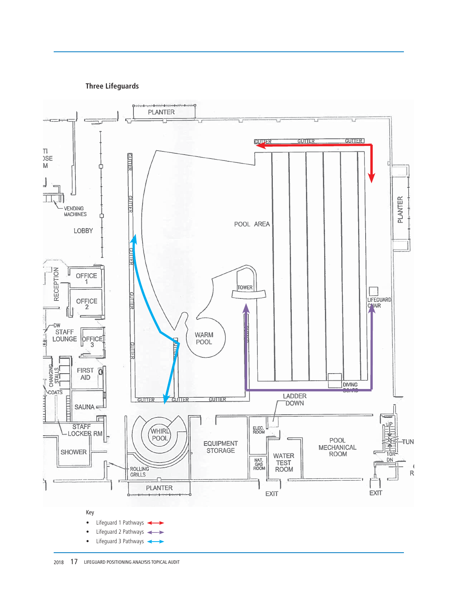

**Three Lifeguards**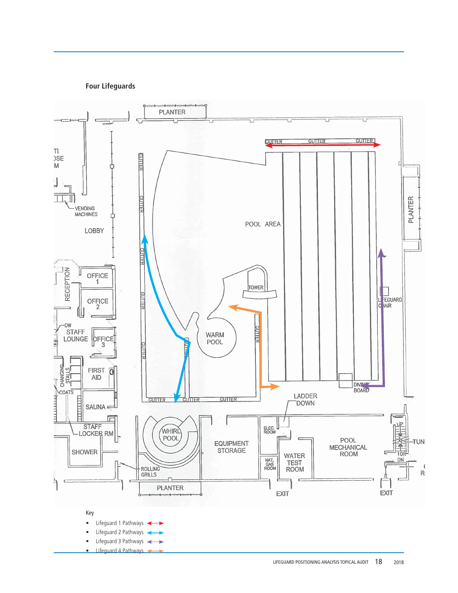

**Four Lifeguards**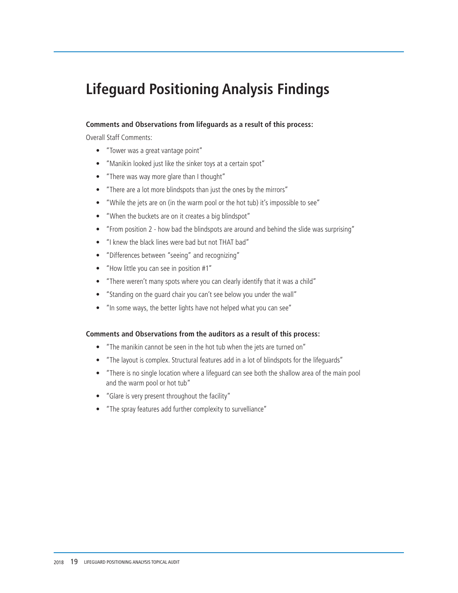# **Lifeguard Positioning Analysis Findings**

#### **Comments and Observations from lifeguards as a result of this process:**

Overall Staff Comments:

- "Tower was a great vantage point"
- "Manikin looked just like the sinker toys at a certain spot"
- "There was way more glare than I thought"
- "There are a lot more blindspots than just the ones by the mirrors"
- "While the jets are on (in the warm pool or the hot tub) it's impossible to see"
- "When the buckets are on it creates a big blindspot"
- "From position 2 how bad the blindspots are around and behind the slide was surprising"
- "I knew the black lines were bad but not THAT bad"
- "Differences between "seeing" and recognizing"
- "How little you can see in position #1"
- "There weren't many spots where you can clearly identify that it was a child"
- "Standing on the guard chair you can't see below you under the wall"
- "In some ways, the better lights have not helped what you can see"

#### **Comments and Observations from the auditors as a result of this process:**

- "The manikin cannot be seen in the hot tub when the jets are turned on"
- "The layout is complex. Structural features add in a lot of blindspots for the lifeguards"
- "There is no single location where a lifeguard can see both the shallow area of the main pool and the warm pool or hot tub"
- "Glare is very present throughout the facility"
- "The spray features add further complexity to survelliance"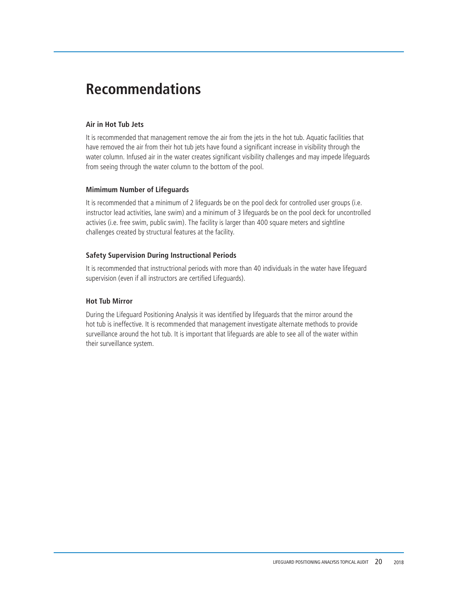# **Recommendations**

#### **Air in Hot Tub Jets**

It is recommended that management remove the air from the jets in the hot tub. Aquatic facilities that have removed the air from their hot tub jets have found a significant increase in visibility through the water column. Infused air in the water creates significant visibility challenges and may impede lifeguards from seeing through the water column to the bottom of the pool.

#### **Mimimum Number of Lifeguards**

It is recommended that a minimum of 2 lifeguards be on the pool deck for controlled user groups (i.e. instructor lead activities, lane swim) and a minimum of 3 lifeguards be on the pool deck for uncontrolled activies (i.e. free swim, public swim). The facility is larger than 400 square meters and sightline challenges created by structural features at the facility.

### **Safety Supervision During Instructional Periods**

It is recommended that instructrional periods with more than 40 individuals in the water have lifeguard supervision (even if all instructors are certified Lifeguards).

#### **Hot Tub Mirror**

During the Lifeguard Positioning Analysis it was identified by lifeguards that the mirror around the hot tub is ineffective. It is recommended that management investigate alternate methods to provide surveillance around the hot tub. It is important that lifeguards are able to see all of the water within their surveillance system.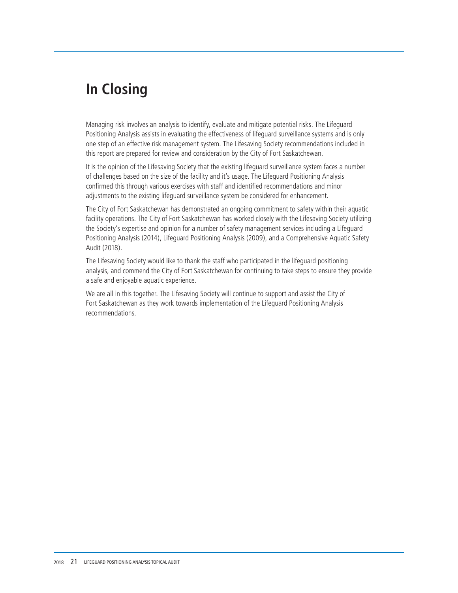# **In Closing**

Managing risk involves an analysis to identify, evaluate and mitigate potential risks. The Lifeguard Positioning Analysis assists in evaluating the effectiveness of lifeguard surveillance systems and is only one step of an effective risk management system. The Lifesaving Society recommendations included in this report are prepared for review and consideration by the City of Fort Saskatchewan.

It is the opinion of the Lifesaving Society that the existing lifeguard surveillance system faces a number of challenges based on the size of the facility and it's usage. The Lifeguard Positioning Analysis confirmed this through various exercises with staff and identified recommendations and minor adjustments to the existing lifeguard surveillance system be considered for enhancement.

The City of Fort Saskatchewan has demonstrated an ongoing commitment to safety within their aquatic facility operations. The City of Fort Saskatchewan has worked closely with the Lifesaving Society utilizing the Society's expertise and opinion for a number of safety management services including a Lifeguard Positioning Analysis (2014), Lifeguard Positioning Analysis (2009), and a Comprehensive Aquatic Safety Audit (2018).

The Lifesaving Society would like to thank the staff who participated in the lifeguard positioning analysis, and commend the City of Fort Saskatchewan for continuing to take steps to ensure they provide a safe and enjoyable aquatic experience.

We are all in this together. The Lifesaving Society will continue to support and assist the City of Fort Saskatchewan as they work towards implementation of the Lifeguard Positioning Analysis recommendations.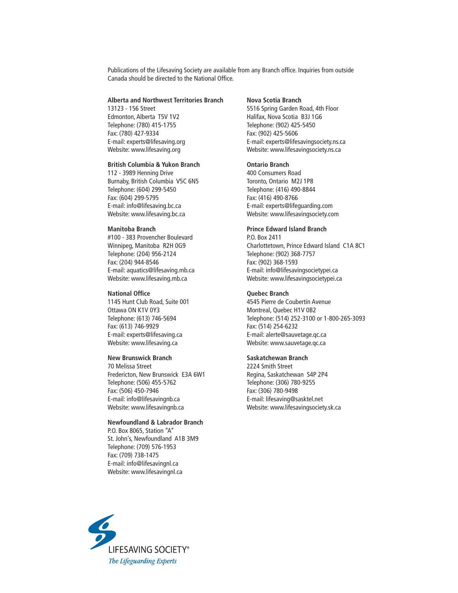Publications of the Lifesaving Society are available from any Branch office. Inquiries from outside Canada should be directed to the National Office.

#### **Alberta and Northwest Territories Branch**

13123 - 156 Street Edmonton, Alberta T5V 1V2 Telephone: (780) 415-1755 Fax: (780) 427-9334 E-mail: experts@lifesaving.org Website: www.lifesaving.org

#### **British Columbia & Yukon Branch**

112 - 3989 Henning Drive Burnaby, British Columbia V5C 6N5 Telephone: (604) 299-5450 Fax: (604) 299-5795 E-mail: info@lifesaving.bc.ca Website: www.lifesaving.bc.ca

#### **Manitoba Branch**

#100 - 383 Provencher Boulevard Winnipeg, Manitoba R2H 0G9 Telephone: (204) 956-2124 Fax: (204) 944-8546 E-mail: aquatics@lifesaving.mb.ca Website: www.lifesaving.mb.ca

#### **National Office**

1145 Hunt Club Road, Suite 001 Ottawa ON K1V 0Y3 Telephone: (613) 746-5694 Fax: (613) 746-9929 E-mail: experts@lifesaving.ca Website: www.lifesaving.ca

#### **New Brunswick Branch**

70 Melissa Street Fredericton, New Brunswick E3A 6W1 Telephone: (506) 455-5762 Fax: (506) 450-7946 E-mail: info@lifesavingnb.ca Website: www.lifesavingnb.ca

#### **Newfoundland & Labrador Branch**

P.O. Box 8065, Station "A" St. John's, Newfoundland A1B 3M9 Telephone: (709) 576-1953 Fax: (709) 738-1475 E-mail: info@lifesavingnl.ca Website: www.lifesavingnl.ca

#### **Nova Scotia Branch**

5516 Spring Garden Road, 4th Floor Halifax, Nova Scotia B3J 1G6 Telephone: (902) 425-5450 Fax: (902) 425-5606 E-mail: experts@lifesavingsociety.ns.ca Website: www.lifesavingsociety.ns.ca

#### **Ontario Branch**

400 Consumers Road Toronto, Ontario M2J 1P8 Telephone: (416) 490-8844 Fax: (416) 490-8766 E-mail: experts@lifeguarding.com Website: www.lifesavingsociety.com

#### **Prince Edward Island Branch**

P.O. Box 2411 Charlottetown, Prince Edward Island C1A 8C1 Telephone: (902) 368-7757 Fax: (902) 368-1593 E-mail: info@lifesavingsocietypei.ca Website: www.lifesavingsocietypei.ca

#### **Quebec Branch**

4545 Pierre de Coubertin Avenue Montreal, Quebec H1V 0B2 Telephone: (514) 252-3100 or 1-800-265-3093 Fax: (514) 254-6232 E-mail: alerte@sauvetage.qc.ca Website: www.sauvetage.qc.ca

#### **Saskatchewan Branch**

2224 Smith Street Regina, Saskatchewan S4P 2P4 Telephone: (306) 780-9255 Fax: (306) 780-9498 E-mail: lifesaving@sasktel.net Website: www.lifesavingsociety.sk.ca